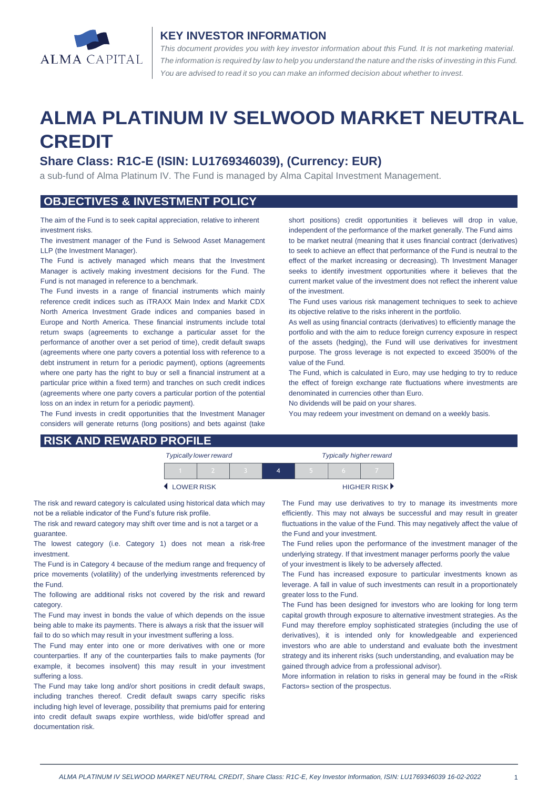

#### **KEY INVESTOR INFORMATION**

*This document provides you with key investor information about this Fund. It is not marketing material.*  The information is required by law to help you understand the nature and the risks of investing in this Fund. *You are advised to read it so you can make an informed decision about whether to invest.*

# **ALMA PLATINUM IV SELWOOD MARKET NEUTRAL CREDIT**

## **Share Class: R1C-E (ISIN: LU1769346039), (Currency: EUR)**

a sub-fund of Alma Platinum IV. The Fund is managed by Alma Capital Investment Management.

## **OBJECTIVES & INVESTMENT POLICY**

The aim of the Fund is to seek capital appreciation, relative to inherent investment risks.

The investment manager of the Fund is Selwood Asset Management LLP (the Investment Manager).

The Fund is actively managed which means that the Investment Manager is actively making investment decisions for the Fund. The Fund is not managed in reference to a benchmark.

The Fund invests in a range of financial instruments which mainly reference credit indices such as iTRAXX Main Index and Markit CDX North America Investment Grade indices and companies based in Europe and North America. These financial instruments include total return swaps (agreements to exchange a particular asset for the performance of another over a set period of time), credit default swaps (agreements where one party covers a potential loss with reference to a debt instrument in return for a periodic payment), options (agreements where one party has the right to buy or sell a financial instrument at a particular price within a fixed term) and tranches on such credit indices (agreements where one party covers a particular portion of the potential loss on an index in return for a periodic payment).

The Fund invests in credit opportunities that the Investment Manager considers will generate returns (long positions) and bets against (take short positions) credit opportunities it believes will drop in value, independent of the performance of the market generally. The Fund aims to be market neutral (meaning that it uses financial contract (derivatives) to seek to achieve an effect that performance of the Fund is neutral to the effect of the market increasing or decreasing). Th Investment Manager seeks to identify investment opportunities where it believes that the current market value of the investment does not reflect the inherent value of the investment.

The Fund uses various risk management techniques to seek to achieve its objective relative to the risks inherent in the portfolio.

As well as using financial contracts (derivatives) to efficiently manage the portfolio and with the aim to reduce foreign currency exposure in respect of the assets (hedging), the Fund will use derivatives for investment purpose. The gross leverage is not expected to exceed 3500% of the value of the Fund.

The Fund, which is calculated in Euro, may use hedging to try to reduce the effect of foreign exchange rate fluctuations where investments are denominated in currencies other than Euro.

No dividends will be paid on your shares.

You may redeem your investment on demand on a weekly basis.

| <b>RISK AND REWARD PROFILE</b> |  |
|--------------------------------|--|
|--------------------------------|--|

| <b>Typically lower reward</b>             |  |  |  | <b>Typically higher reward</b> |  |  |
|-------------------------------------------|--|--|--|--------------------------------|--|--|
|                                           |  |  |  |                                |  |  |
| HIGHER RISK <sup>&gt;</sup><br>LOWER RISK |  |  |  |                                |  |  |

The risk and reward category is calculated using historical data which may not be a reliable indicator of the Fund's future risk profile.

The risk and reward category may shift over time and is not a target or a guarantee.

The lowest category (i.e. Category 1) does not mean a risk-free investment.

The Fund is in Category 4 because of the medium range and frequency of price movements (volatility) of the underlying investments referenced by the Fund.

The following are additional risks not covered by the risk and reward category.

The Fund may invest in bonds the value of which depends on the issue being able to make its payments. There is always a risk that the issuer will fail to do so which may result in your investment suffering a loss.

The Fund may enter into one or more derivatives with one or more counterparties. If any of the counterparties fails to make payments (for example, it becomes insolvent) this may result in your investment suffering a loss.

The Fund may take long and/or short positions in credit default swaps, including tranches thereof. Credit default swaps carry specific risks including high level of leverage, possibility that premiums paid for entering into credit default swaps expire worthless, wide bid/offer spread and documentation risk.

The Fund may use derivatives to try to manage its investments more efficiently. This may not always be successful and may result in greater fluctuations in the value of the Fund. This may negatively affect the value of the Fund and your investment.

The Fund relies upon the performance of the investment manager of the underlying strategy. If that investment manager performs poorly the value of your investment is likely to be adversely affected.

The Fund has increased exposure to particular investments known as leverage. A fall in value of such investments can result in a proportionately greater loss to the Fund.

The Fund has been designed for investors who are looking for long term capital growth through exposure to alternative investment strategies. As the Fund may therefore employ sophisticated strategies (including the use of derivatives), it is intended only for knowledgeable and experienced investors who are able to understand and evaluate both the investment strategy and its inherent risks (such understanding, and evaluation may be gained through advice from a professional advisor).

More information in relation to risks in general may be found in the «Risk Factors» section of the prospectus.